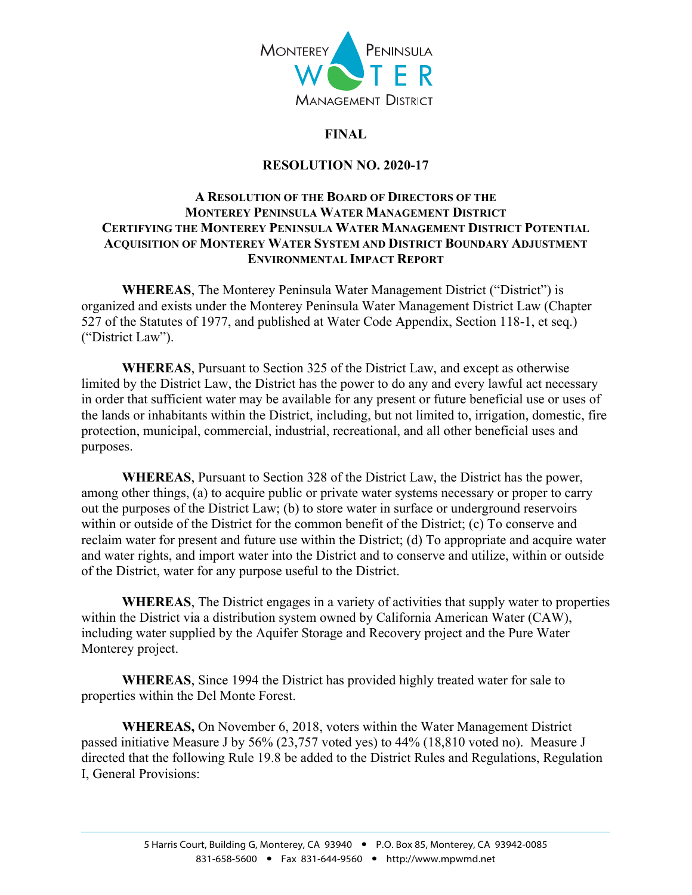

## **FINAL**

## **RESOLUTION NO. 2020-17**

## **A RESOLUTION OF THE BOARD OF DIRECTORS OF THE MONTEREY PENINSULA WATER MANAGEMENT DISTRICT CERTIFYING THE MONTEREY PENINSULA WATER MANAGEMENT DISTRICT POTENTIAL ACQUISITION OF MONTEREY WATER SYSTEM AND DISTRICT BOUNDARY ADJUSTMENT ENVIRONMENTAL IMPACT REPORT**

**WHEREAS**, The Monterey Peninsula Water Management District ("District") is organized and exists under the Monterey Peninsula Water Management District Law (Chapter 527 of the Statutes of 1977, and published at Water Code Appendix, Section 118-1, et seq.) ("District Law").

**WHEREAS**, Pursuant to Section 325 of the District Law, and except as otherwise limited by the District Law, the District has the power to do any and every lawful act necessary in order that sufficient water may be available for any present or future beneficial use or uses of the lands or inhabitants within the District, including, but not limited to, irrigation, domestic, fire protection, municipal, commercial, industrial, recreational, and all other beneficial uses and purposes.

**WHEREAS**, Pursuant to Section 328 of the District Law, the District has the power, among other things, (a) to acquire public or private water systems necessary or proper to carry out the purposes of the District Law; (b) to store water in surface or underground reservoirs within or outside of the District for the common benefit of the District; (c) To conserve and reclaim water for present and future use within the District; (d) To appropriate and acquire water and water rights, and import water into the District and to conserve and utilize, within or outside of the District, water for any purpose useful to the District.

**WHEREAS**, The District engages in a variety of activities that supply water to properties within the District via a distribution system owned by California American Water (CAW), including water supplied by the Aquifer Storage and Recovery project and the Pure Water Monterey project.

**WHEREAS**, Since 1994 the District has provided highly treated water for sale to properties within the Del Monte Forest.

**WHEREAS,** On November 6, 2018, voters within the Water Management District passed initiative Measure J by 56% (23,757 voted yes) to 44% (18,810 voted no). Measure J directed that the following Rule 19.8 be added to the District Rules and Regulations, Regulation I, General Provisions: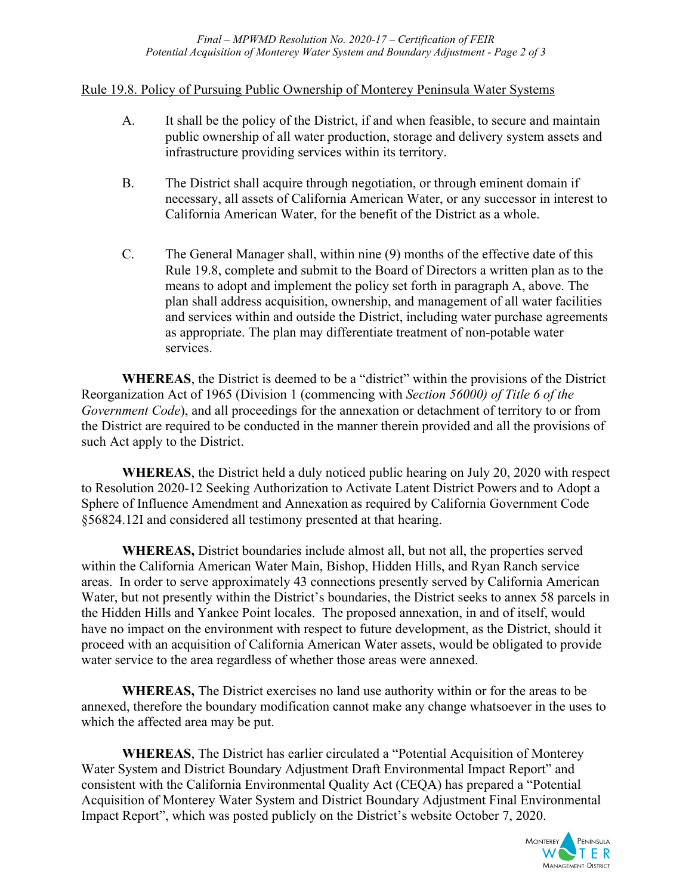### Rule 19.8. Policy of Pursuing Public Ownership of Monterey Peninsula Water Systems

- A. It shall be the policy of the District, if and when feasible, to secure and maintain public ownership of all water production, storage and delivery system assets and infrastructure providing services within its territory.
- B. The District shall acquire through negotiation, or through eminent domain if necessary, all assets of California American Water, or any successor in interest to California American Water, for the benefit of the District as a whole.
- C. The General Manager shall, within nine (9) months of the effective date of this Rule 19.8, complete and submit to the Board of Directors a written plan as to the means to adopt and implement the policy set forth in paragraph A, above. The plan shall address acquisition, ownership, and management of all water facilities and services within and outside the District, including water purchase agreements as appropriate. The plan may differentiate treatment of non-potable water services.

**WHEREAS**, the District is deemed to be a "district" within the provisions of the District Reorganization Act of 1965 (Division 1 (commencing with *Section 56000) of Title 6 of the Government Code*), and all proceedings for the annexation or detachment of territory to or from the District are required to be conducted in the manner therein provided and all the provisions of such Act apply to the District.

**WHEREAS**, the District held a duly noticed public hearing on July 20, 2020 with respect to Resolution 2020-12 Seeking Authorization to Activate Latent District Powers and to Adopt a Sphere of Influence Amendment and Annexation as required by California Government Code §56824.12I and considered all testimony presented at that hearing.

**WHEREAS,** District boundaries include almost all, but not all, the properties served within the California American Water Main, Bishop, Hidden Hills, and Ryan Ranch service areas. In order to serve approximately 43 connections presently served by California American Water, but not presently within the District's boundaries, the District seeks to annex 58 parcels in the Hidden Hills and Yankee Point locales. The proposed annexation, in and of itself, would have no impact on the environment with respect to future development, as the District, should it proceed with an acquisition of California American Water assets, would be obligated to provide water service to the area regardless of whether those areas were annexed.

**WHEREAS,** The District exercises no land use authority within or for the areas to be annexed, therefore the boundary modification cannot make any change whatsoever in the uses to which the affected area may be put.

**WHEREAS**, The District has earlier circulated a "Potential Acquisition of Monterey Water System and District Boundary Adjustment Draft Environmental Impact Report" and consistent with the California Environmental Quality Act (CEQA) has prepared a "Potential Acquisition of Monterey Water System and District Boundary Adjustment Final Environmental Impact Report", which was posted publicly on the District's website October 7, 2020.

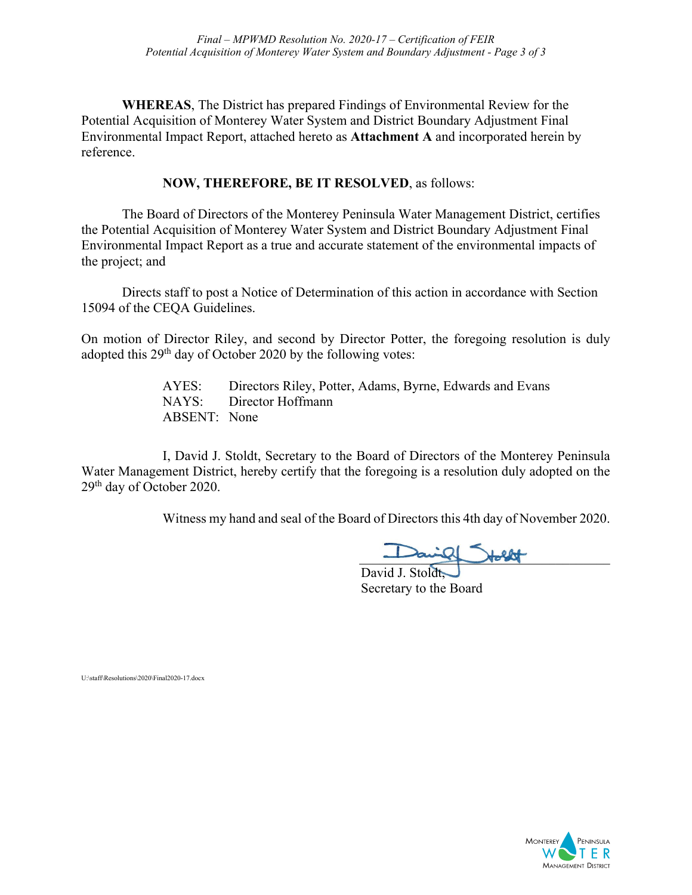**WHEREAS**, The District has prepared Findings of Environmental Review for the Potential Acquisition of Monterey Water System and District Boundary Adjustment Final Environmental Impact Report, attached hereto as **Attachment A** and incorporated herein by reference.

## **NOW, THEREFORE, BE IT RESOLVED**, as follows:

The Board of Directors of the Monterey Peninsula Water Management District, certifies the Potential Acquisition of Monterey Water System and District Boundary Adjustment Final Environmental Impact Report as a true and accurate statement of the environmental impacts of the project; and

Directs staff to post a Notice of Determination of this action in accordance with Section 15094 of the CEQA Guidelines.

On motion of Director Riley, and second by Director Potter, the foregoing resolution is duly adopted this 29th day of October 2020 by the following votes:

> AYES: Directors Riley, Potter, Adams, Byrne, Edwards and Evans NAYS: Director Hoffmann ABSENT: None

I, David J. Stoldt, Secretary to the Board of Directors of the Monterey Peninsula Water Management District, hereby certify that the foregoing is a resolution duly adopted on the 29th day of October 2020.

Witness my hand and seal of the Board of Directors this 4th day of November 2020.

\_\_\_\_\_\_\_\_\_\_\_\_\_\_\_\_\_\_\_\_\_\_\_\_\_\_\_\_\_\_\_\_\_\_\_\_\_

David J. Stoldt, Secretary to the Board

U:\staff\Resolutions\2020\Final2020-17.docx

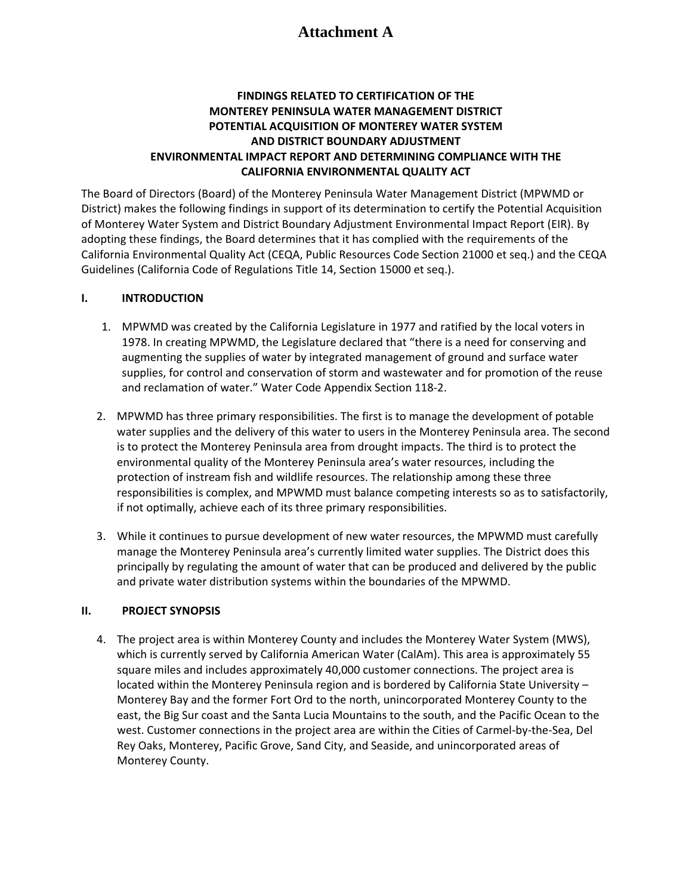## **Attachment A**

#### **FINDINGS RELATED TO CERTIFICATION OF THE MONTEREY PENINSULA WATER MANAGEMENT DISTRICT POTENTIAL ACQUISITION OF MONTEREY WATER SYSTEM AND DISTRICT BOUNDARY ADJUSTMENT ENVIRONMENTAL IMPACT REPORT AND DETERMINING COMPLIANCE WITH THE CALIFORNIA ENVIRONMENTAL QUALITY ACT**

The Board of Directors (Board) of the Monterey Peninsula Water Management District (MPWMD or District) makes the following findings in support of its determination to certify the Potential Acquisition of Monterey Water System and District Boundary Adjustment Environmental Impact Report (EIR). By adopting these findings, the Board determines that it has complied with the requirements of the California Environmental Quality Act (CEQA, Public Resources Code Section 21000 et seq.) and the CEQA Guidelines (California Code of Regulations Title 14, Section 15000 et seq.).

#### **I. INTRODUCTION**

- 1. MPWMD was created by the California Legislature in 1977 and ratified by the local voters in 1978. In creating MPWMD, the Legislature declared that "there is a need for conserving and augmenting the supplies of water by integrated management of ground and surface water supplies, for control and conservation of storm and wastewater and for promotion of the reuse and reclamation of water." Water Code Appendix Section 118-2.
- 2. MPWMD has three primary responsibilities. The first is to manage the development of potable water supplies and the delivery of this water to users in the Monterey Peninsula area. The second is to protect the Monterey Peninsula area from drought impacts. The third is to protect the environmental quality of the Monterey Peninsula area's water resources, including the protection of instream fish and wildlife resources. The relationship among these three responsibilities is complex, and MPWMD must balance competing interests so as to satisfactorily, if not optimally, achieve each of its three primary responsibilities.
- 3. While it continues to pursue development of new water resources, the MPWMD must carefully manage the Monterey Peninsula area's currently limited water supplies. The District does this principally by regulating the amount of water that can be produced and delivered by the public and private water distribution systems within the boundaries of the MPWMD.

#### **II. PROJECT SYNOPSIS**

4. The project area is within Monterey County and includes the Monterey Water System (MWS), which is currently served by California American Water (CalAm). This area is approximately 55 square miles and includes approximately 40,000 customer connections. The project area is located within the Monterey Peninsula region and is bordered by California State University – Monterey Bay and the former Fort Ord to the north, unincorporated Monterey County to the east, the Big Sur coast and the Santa Lucia Mountains to the south, and the Pacific Ocean to the west. Customer connections in the project area are within the Cities of Carmel-by-the-Sea, Del Rey Oaks, Monterey, Pacific Grove, Sand City, and Seaside, and unincorporated areas of Monterey County.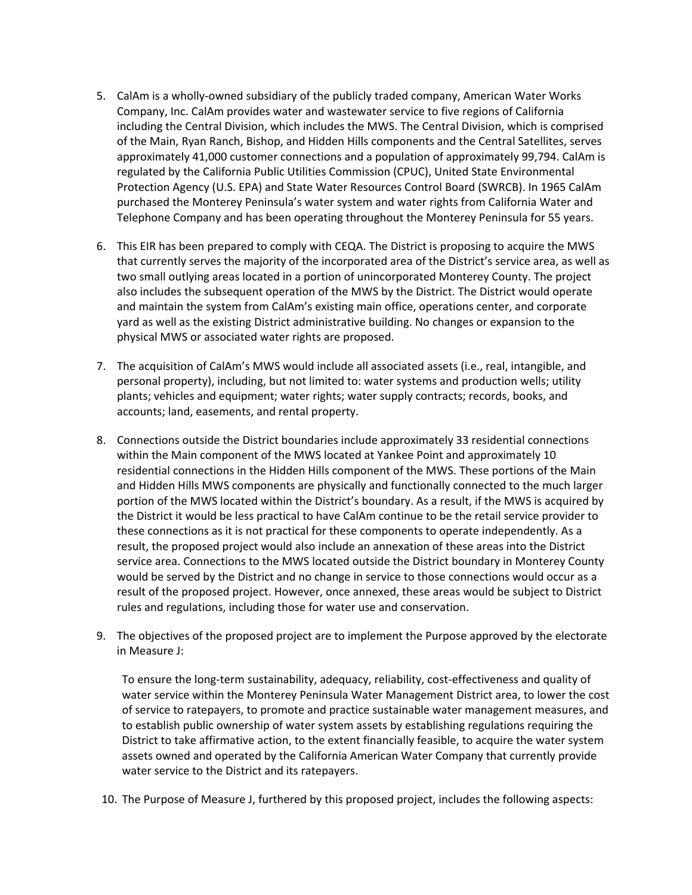- 5. CalAm is a wholly-owned subsidiary of the publicly traded company, American Water Works Company, Inc. CalAm provides water and wastewater service to five regions of California including the Central Division, which includes the MWS. The Central Division, which is comprised of the Main, Ryan Ranch, Bishop, and Hidden Hills components and the Central Satellites, serves approximately 41,000 customer connections and a population of approximately 99,794. CalAm is regulated by the California Public Utilities Commission (CPUC), United State Environmental Protection Agency (U.S. EPA) and State Water Resources Control Board (SWRCB). In 1965 CalAm purchased the Monterey Peninsula's water system and water rights from California Water and Telephone Company and has been operating throughout the Monterey Peninsula for 55 years.
- 6. This EIR has been prepared to comply with CEQA. The District is proposing to acquire the MWS that currently serves the majority of the incorporated area of the District's service area, as well as two small outlying areas located in a portion of unincorporated Monterey County. The project also includes the subsequent operation of the MWS by the District. The District would operate and maintain the system from CalAm's existing main office, operations center, and corporate yard as well as the existing District administrative building. No changes or expansion to the physical MWS or associated water rights are proposed.
- 7. The acquisition of CalAm's MWS would include all associated assets (i.e., real, intangible, and personal property), including, but not limited to: water systems and production wells; utility plants; vehicles and equipment; water rights; water supply contracts; records, books, and accounts; land, easements, and rental property.
- 8. Connections outside the District boundaries include approximately 33 residential connections within the Main component of the MWS located at Yankee Point and approximately 10 residential connections in the Hidden Hills component of the MWS. These portions of the Main and Hidden Hills MWS components are physically and functionally connected to the much larger portion of the MWS located within the District's boundary. As a result, if the MWS is acquired by the District it would be less practical to have CalAm continue to be the retail service provider to these connections as it is not practical for these components to operate independently. As a result, the proposed project would also include an annexation of these areas into the District service area. Connections to the MWS located outside the District boundary in Monterey County would be served by the District and no change in service to those connections would occur as a result of the proposed project. However, once annexed, these areas would be subject to District rules and regulations, including those for water use and conservation.
- 9. The objectives of the proposed project are to implement the Purpose approved by the electorate in Measure J:

To ensure the long-term sustainability, adequacy, reliability, cost-effectiveness and quality of water service within the Monterey Peninsula Water Management District area, to lower the cost of service to ratepayers, to promote and practice sustainable water management measures, and to establish public ownership of water system assets by establishing regulations requiring the District to take affirmative action, to the extent financially feasible, to acquire the water system assets owned and operated by the California American Water Company that currently provide water service to the District and its ratepayers.

10. The Purpose of Measure J, furthered by this proposed project, includes the following aspects: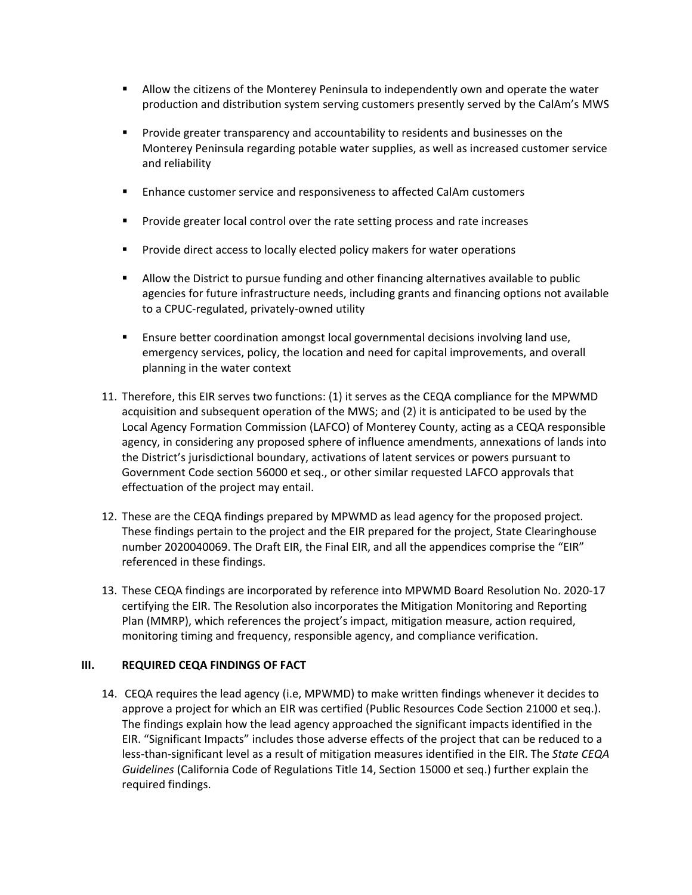- Allow the citizens of the Monterey Peninsula to independently own and operate the water production and distribution system serving customers presently served by the CalAm's MWS
- Provide greater transparency and accountability to residents and businesses on the Monterey Peninsula regarding potable water supplies, as well as increased customer service and reliability
- **Enhance customer service and responsiveness to affected CalAm customers**
- **Provide greater local control over the rate setting process and rate increases**
- **Provide direct access to locally elected policy makers for water operations**
- Allow the District to pursue funding and other financing alternatives available to public agencies for future infrastructure needs, including grants and financing options not available to a CPUC-regulated, privately-owned utility
- **Ensure better coordination amongst local governmental decisions involving land use,** emergency services, policy, the location and need for capital improvements, and overall planning in the water context
- 11. Therefore, this EIR serves two functions: (1) it serves as the CEQA compliance for the MPWMD acquisition and subsequent operation of the MWS; and (2) it is anticipated to be used by the Local Agency Formation Commission (LAFCO) of Monterey County, acting as a CEQA responsible agency, in considering any proposed sphere of influence amendments, annexations of lands into the District's jurisdictional boundary, activations of latent services or powers pursuant to Government Code section 56000 et seq., or other similar requested LAFCO approvals that effectuation of the project may entail.
- 12. These are the CEQA findings prepared by MPWMD as lead agency for the proposed project. These findings pertain to the project and the EIR prepared for the project, State Clearinghouse number 2020040069. The Draft EIR, the Final EIR, and all the appendices comprise the "EIR" referenced in these findings.
- 13. These CEQA findings are incorporated by reference into MPWMD Board Resolution No. 2020-17 certifying the EIR. The Resolution also incorporates the Mitigation Monitoring and Reporting Plan (MMRP), which references the project's impact, mitigation measure, action required, monitoring timing and frequency, responsible agency, and compliance verification.

#### **III. REQUIRED CEQA FINDINGS OF FACT**

14. CEQA requires the lead agency (i.e, MPWMD) to make written findings whenever it decides to approve a project for which an EIR was certified (Public Resources Code Section 21000 et seq.). The findings explain how the lead agency approached the significant impacts identified in the EIR. "Significant Impacts" includes those adverse effects of the project that can be reduced to a less-than-significant level as a result of mitigation measures identified in the EIR. The *State CEQA Guidelines* (California Code of Regulations Title 14, Section 15000 et seq.) further explain the required findings.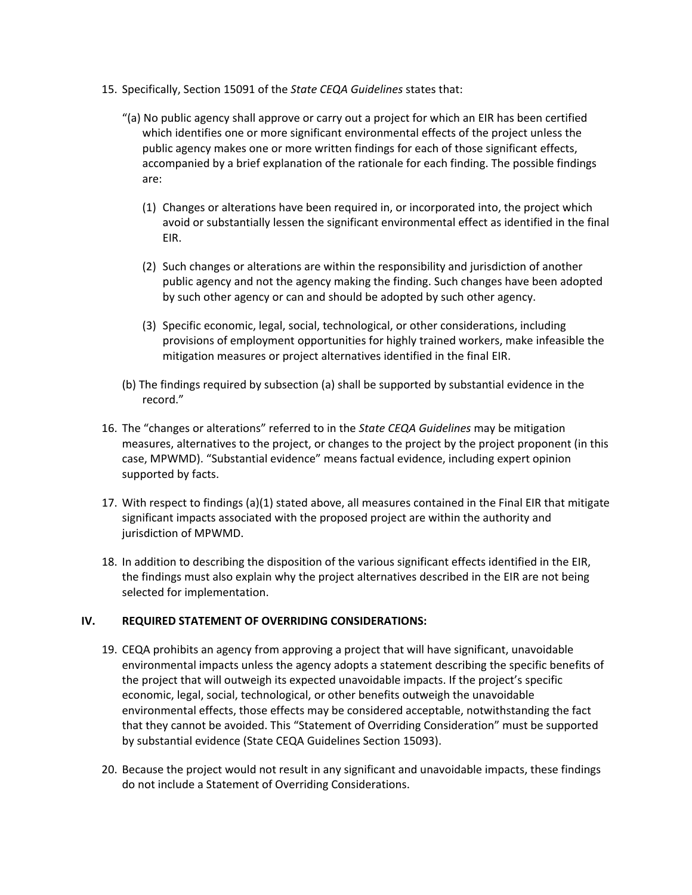- 15. Specifically, Section 15091 of the *State CEQA Guidelines* states that:
	- "(a) No public agency shall approve or carry out a project for which an EIR has been certified which identifies one or more significant environmental effects of the project unless the public agency makes one or more written findings for each of those significant effects, accompanied by a brief explanation of the rationale for each finding. The possible findings are:
		- (1) Changes or alterations have been required in, or incorporated into, the project which avoid or substantially lessen the significant environmental effect as identified in the final EIR.
		- (2) Such changes or alterations are within the responsibility and jurisdiction of another public agency and not the agency making the finding. Such changes have been adopted by such other agency or can and should be adopted by such other agency.
		- (3) Specific economic, legal, social, technological, or other considerations, including provisions of employment opportunities for highly trained workers, make infeasible the mitigation measures or project alternatives identified in the final EIR.
	- (b) The findings required by subsection (a) shall be supported by substantial evidence in the record."
- 16. The "changes or alterations" referred to in the *State CEQA Guidelines* may be mitigation measures, alternatives to the project, or changes to the project by the project proponent (in this case, MPWMD). "Substantial evidence" means factual evidence, including expert opinion supported by facts.
- 17. With respect to findings (a)(1) stated above, all measures contained in the Final EIR that mitigate significant impacts associated with the proposed project are within the authority and jurisdiction of MPWMD.
- 18. In addition to describing the disposition of the various significant effects identified in the EIR, the findings must also explain why the project alternatives described in the EIR are not being selected for implementation.

#### **IV. REQUIRED STATEMENT OF OVERRIDING CONSIDERATIONS:**

- 19. CEQA prohibits an agency from approving a project that will have significant, unavoidable environmental impacts unless the agency adopts a statement describing the specific benefits of the project that will outweigh its expected unavoidable impacts. If the project's specific economic, legal, social, technological, or other benefits outweigh the unavoidable environmental effects, those effects may be considered acceptable, notwithstanding the fact that they cannot be avoided. This "Statement of Overriding Consideration" must be supported by substantial evidence (State CEQA Guidelines Section 15093).
- 20. Because the project would not result in any significant and unavoidable impacts, these findings do not include a Statement of Overriding Considerations.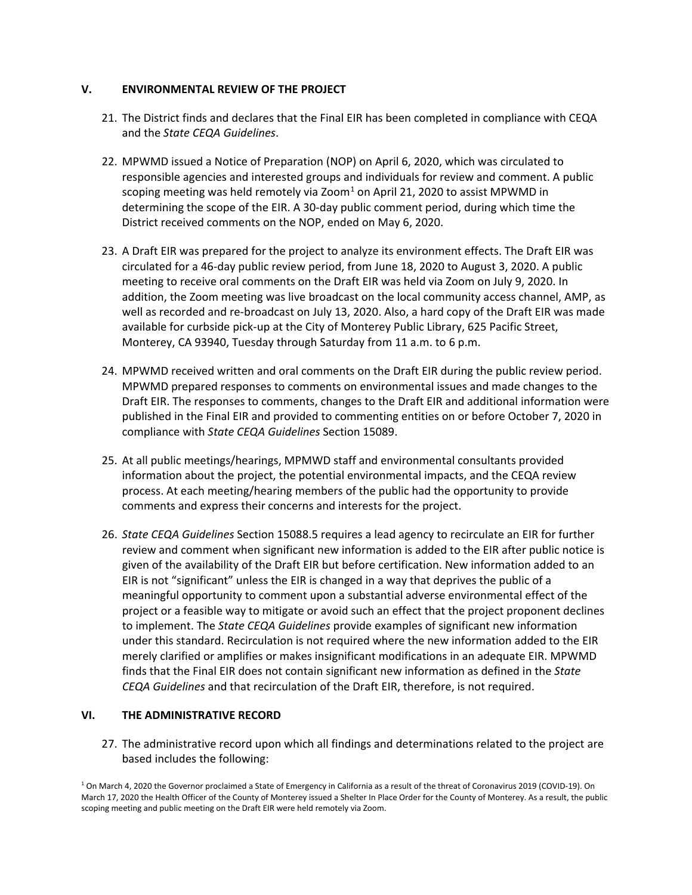#### **V. ENVIRONMENTAL REVIEW OF THE PROJECT**

- 21. The District finds and declares that the Final EIR has been completed in compliance with CEQA and the *State CEQA Guidelines*.
- 22. MPWMD issued a Notice of Preparation (NOP) on April 6, 2020, which was circulated to responsible agencies and interested groups and individuals for review and comment. A public scoping meeting was held remotely via Zoom $<sup>1</sup>$  $<sup>1</sup>$  $<sup>1</sup>$  on April 21, 2020 to assist MPWMD in</sup> determining the scope of the EIR. A 30-day public comment period, during which time the District received comments on the NOP, ended on May 6, 2020.
- 23. A Draft EIR was prepared for the project to analyze its environment effects. The Draft EIR was circulated for a 46-day public review period, from June 18, 2020 to August 3, 2020. A public meeting to receive oral comments on the Draft EIR was held via Zoom on July 9, 2020. In addition, the Zoom meeting was live broadcast on the local community access channel, AMP, as well as recorded and re-broadcast on July 13, 2020. Also, a hard copy of the Draft EIR was made available for curbside pick-up at the City of Monterey Public Library, 625 Pacific Street, Monterey, CA 93940, Tuesday through Saturday from 11 a.m. to 6 p.m.
- 24. MPWMD received written and oral comments on the Draft EIR during the public review period. MPWMD prepared responses to comments on environmental issues and made changes to the Draft EIR. The responses to comments, changes to the Draft EIR and additional information were published in the Final EIR and provided to commenting entities on or before October 7, 2020 in compliance with *State CEQA Guidelines* Section 15089.
- 25. At all public meetings/hearings, MPMWD staff and environmental consultants provided information about the project, the potential environmental impacts, and the CEQA review process. At each meeting/hearing members of the public had the opportunity to provide comments and express their concerns and interests for the project.
- 26. *State CEQA Guidelines* Section 15088.5 requires a lead agency to recirculate an EIR for further review and comment when significant new information is added to the EIR after public notice is given of the availability of the Draft EIR but before certification. New information added to an EIR is not "significant" unless the EIR is changed in a way that deprives the public of a meaningful opportunity to comment upon a substantial adverse environmental effect of the project or a feasible way to mitigate or avoid such an effect that the project proponent declines to implement. The *State CEQA Guidelines* provide examples of significant new information under this standard. Recirculation is not required where the new information added to the EIR merely clarified or amplifies or makes insignificant modifications in an adequate EIR. MPWMD finds that the Final EIR does not contain significant new information as defined in the *State CEQA Guidelines* and that recirculation of the Draft EIR, therefore, is not required.

#### **VI. THE ADMINISTRATIVE RECORD**

27. The administrative record upon which all findings and determinations related to the project are based includes the following:

<span id="page-8-0"></span><sup>&</sup>lt;sup>1</sup> On March 4, 2020 the Governor proclaimed a State of Emergency in California as a result of the threat of Coronavirus 2019 (COVID-19). On March 17, 2020 the Health Officer of the County of Monterey issued a Shelter In Place Order for the County of Monterey. As a result, the public scoping meeting and public meeting on the Draft EIR were held remotely via Zoom.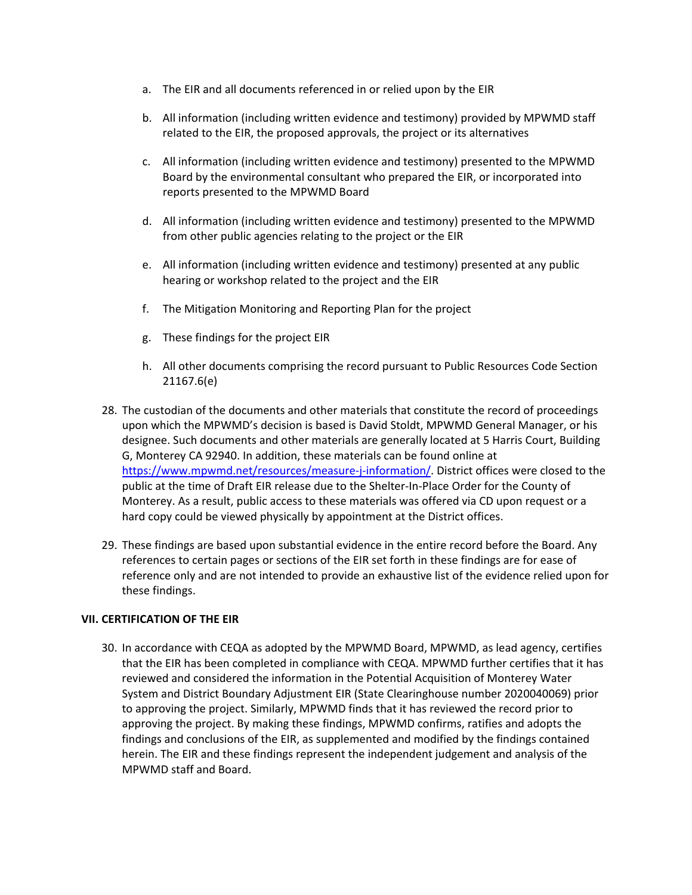- a. The EIR and all documents referenced in or relied upon by the EIR
- b. All information (including written evidence and testimony) provided by MPWMD staff related to the EIR, the proposed approvals, the project or its alternatives
- c. All information (including written evidence and testimony) presented to the MPWMD Board by the environmental consultant who prepared the EIR, or incorporated into reports presented to the MPWMD Board
- d. All information (including written evidence and testimony) presented to the MPWMD from other public agencies relating to the project or the EIR
- e. All information (including written evidence and testimony) presented at any public hearing or workshop related to the project and the EIR
- f. The Mitigation Monitoring and Reporting Plan for the project
- g. These findings for the project EIR
- h. All other documents comprising the record pursuant to Public Resources Code Section 21167.6(e)
- 28. The custodian of the documents and other materials that constitute the record of proceedings upon which the MPWMD's decision is based is David Stoldt, MPWMD General Manager, or his designee. Such documents and other materials are generally located at 5 Harris Court, Building G, Monterey CA 92940. In addition, these materials can be found online at [https://www.mpwmd.net/resources/measure-j-information/.](https://www.mpwmd.net/resources/measure-j-information/) District offices were closed to the public at the time of Draft EIR release due to the Shelter-In-Place Order for the County of Monterey. As a result, public access to these materials was offered via CD upon request or a hard copy could be viewed physically by appointment at the District offices.
- 29. These findings are based upon substantial evidence in the entire record before the Board. Any references to certain pages or sections of the EIR set forth in these findings are for ease of reference only and are not intended to provide an exhaustive list of the evidence relied upon for these findings.

#### **VII. CERTIFICATION OF THE EIR**

30. In accordance with CEQA as adopted by the MPWMD Board, MPWMD, as lead agency, certifies that the EIR has been completed in compliance with CEQA. MPWMD further certifies that it has reviewed and considered the information in the Potential Acquisition of Monterey Water System and District Boundary Adjustment EIR (State Clearinghouse number 2020040069) prior to approving the project. Similarly, MPWMD finds that it has reviewed the record prior to approving the project. By making these findings, MPWMD confirms, ratifies and adopts the findings and conclusions of the EIR, as supplemented and modified by the findings contained herein. The EIR and these findings represent the independent judgement and analysis of the MPWMD staff and Board.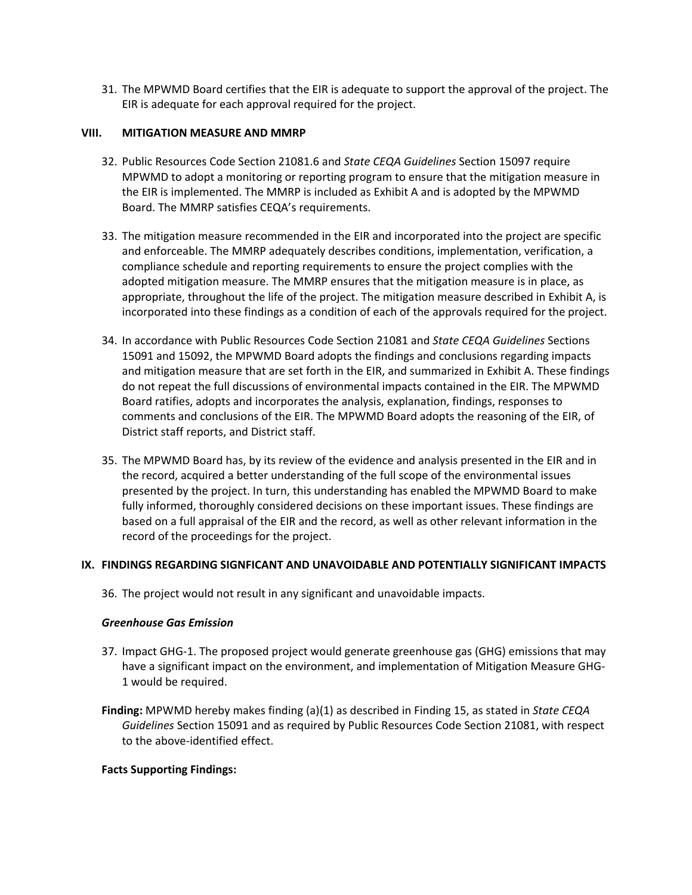31. The MPWMD Board certifies that the EIR is adequate to support the approval of the project. The EIR is adequate for each approval required for the project.

#### **VIII. MITIGATION MEASURE AND MMRP**

- 32. Public Resources Code Section 21081.6 and *State CEQA Guidelines* Section 15097 require MPWMD to adopt a monitoring or reporting program to ensure that the mitigation measure in the EIR is implemented. The MMRP is included as Exhibit A and is adopted by the MPWMD Board. The MMRP satisfies CEQA's requirements.
- 33. The mitigation measure recommended in the EIR and incorporated into the project are specific and enforceable. The MMRP adequately describes conditions, implementation, verification, a compliance schedule and reporting requirements to ensure the project complies with the adopted mitigation measure. The MMRP ensures that the mitigation measure is in place, as appropriate, throughout the life of the project. The mitigation measure described in Exhibit A, is incorporated into these findings as a condition of each of the approvals required for the project.
- 34. In accordance with Public Resources Code Section 21081 and *State CEQA Guidelines* Sections 15091 and 15092, the MPWMD Board adopts the findings and conclusions regarding impacts and mitigation measure that are set forth in the EIR, and summarized in Exhibit A. These findings do not repeat the full discussions of environmental impacts contained in the EIR. The MPWMD Board ratifies, adopts and incorporates the analysis, explanation, findings, responses to comments and conclusions of the EIR. The MPWMD Board adopts the reasoning of the EIR, of District staff reports, and District staff.
- 35. The MPWMD Board has, by its review of the evidence and analysis presented in the EIR and in the record, acquired a better understanding of the full scope of the environmental issues presented by the project. In turn, this understanding has enabled the MPWMD Board to make fully informed, thoroughly considered decisions on these important issues. These findings are based on a full appraisal of the EIR and the record, as well as other relevant information in the record of the proceedings for the project.

#### **IX. FINDINGS REGARDING SIGNFICANT AND UNAVOIDABLE AND POTENTIALLY SIGNIFICANT IMPACTS**

36. The project would not result in any significant and unavoidable impacts.

#### *Greenhouse Gas Emission*

- 37. Impact GHG-1. The proposed project would generate greenhouse gas (GHG) emissions that may have a significant impact on the environment, and implementation of Mitigation Measure GHG-1 would be required.
- **Finding:** MPWMD hereby makes finding (a)(1) as described in Finding 15, as stated in *State CEQA Guidelines* Section 15091 and as required by Public Resources Code Section 21081, with respect to the above-identified effect.

#### **Facts Supporting Findings:**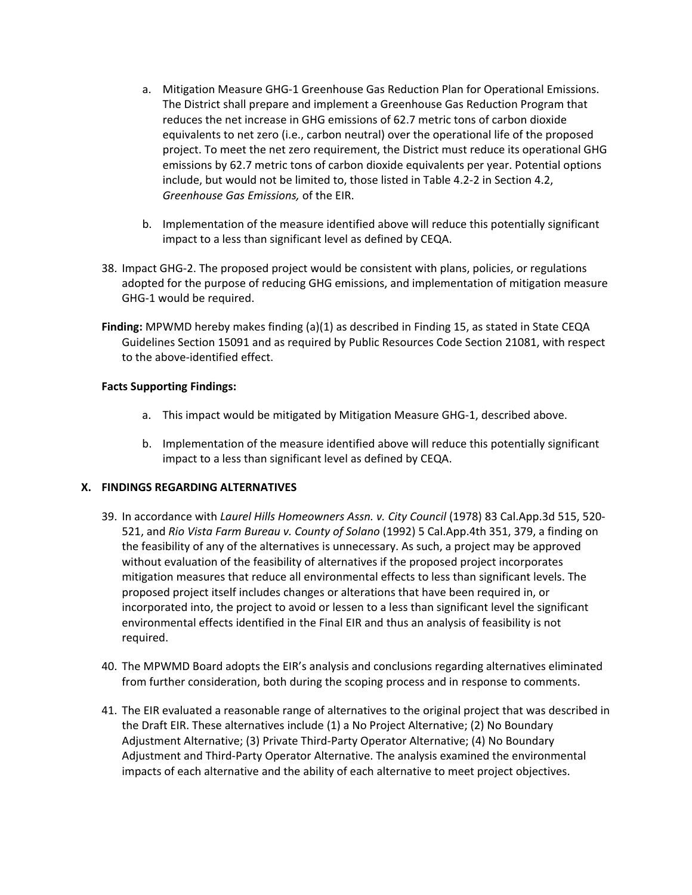- a. Mitigation Measure GHG-1 Greenhouse Gas Reduction Plan for Operational Emissions. The District shall prepare and implement a Greenhouse Gas Reduction Program that reduces the net increase in GHG emissions of 62.7 metric tons of carbon dioxide equivalents to net zero (i.e., carbon neutral) over the operational life of the proposed project. To meet the net zero requirement, the District must reduce its operational GHG emissions by 62.7 metric tons of carbon dioxide equivalents per year. Potential options include, but would not be limited to, those listed in Table 4.2-2 in Section 4.2, *Greenhouse Gas Emissions,* of the EIR.
- b. Implementation of the measure identified above will reduce this potentially significant impact to a less than significant level as defined by CEQA.
- 38. Impact GHG-2. The proposed project would be consistent with plans, policies, or regulations adopted for the purpose of reducing GHG emissions, and implementation of mitigation measure GHG-1 would be required.
- **Finding:** MPWMD hereby makes finding (a)(1) as described in Finding 15, as stated in State CEQA Guidelines Section 15091 and as required by Public Resources Code Section 21081, with respect to the above-identified effect.

#### **Facts Supporting Findings:**

- a. This impact would be mitigated by Mitigation Measure GHG-1, described above.
- b. Implementation of the measure identified above will reduce this potentially significant impact to a less than significant level as defined by CEQA.

#### **X. FINDINGS REGARDING ALTERNATIVES**

- 39. In accordance with *Laurel Hills Homeowners Assn. v. City Council* (1978) 83 Cal.App.3d 515, 520- 521, and *Rio Vista Farm Bureau v. County of Solano* (1992) 5 Cal.App.4th 351, 379, a finding on the feasibility of any of the alternatives is unnecessary. As such, a project may be approved without evaluation of the feasibility of alternatives if the proposed project incorporates mitigation measures that reduce all environmental effects to less than significant levels. The proposed project itself includes changes or alterations that have been required in, or incorporated into, the project to avoid or lessen to a less than significant level the significant environmental effects identified in the Final EIR and thus an analysis of feasibility is not required.
- 40. The MPWMD Board adopts the EIR's analysis and conclusions regarding alternatives eliminated from further consideration, both during the scoping process and in response to comments.
- 41. The EIR evaluated a reasonable range of alternatives to the original project that was described in the Draft EIR. These alternatives include (1) a No Project Alternative; (2) No Boundary Adjustment Alternative; (3) Private Third-Party Operator Alternative; (4) No Boundary Adjustment and Third-Party Operator Alternative. The analysis examined the environmental impacts of each alternative and the ability of each alternative to meet project objectives.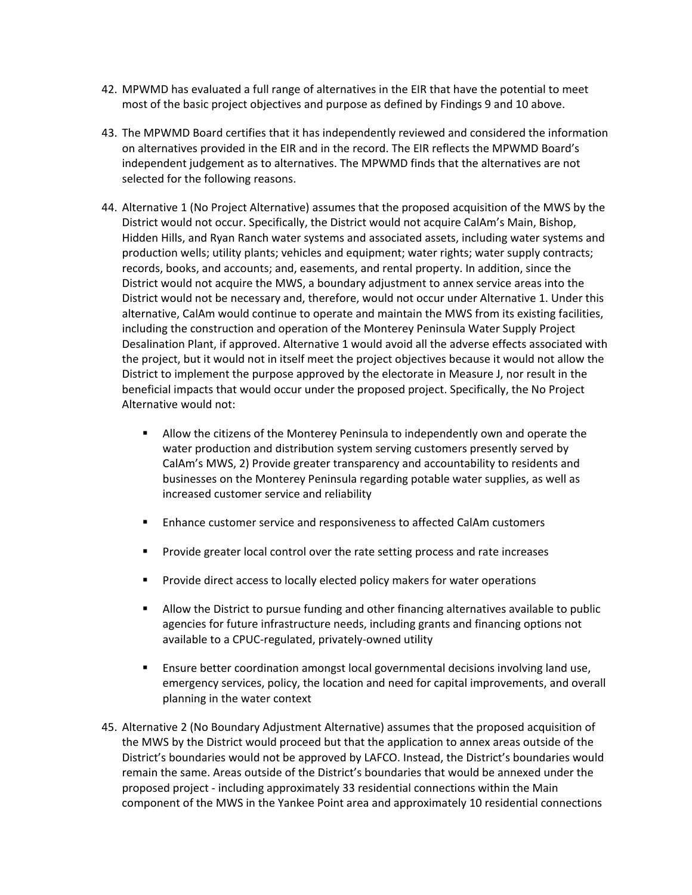- 42. MPWMD has evaluated a full range of alternatives in the EIR that have the potential to meet most of the basic project objectives and purpose as defined by Findings 9 and 10 above.
- 43. The MPWMD Board certifies that it has independently reviewed and considered the information on alternatives provided in the EIR and in the record. The EIR reflects the MPWMD Board's independent judgement as to alternatives. The MPWMD finds that the alternatives are not selected for the following reasons.
- 44. Alternative 1 (No Project Alternative) assumes that the proposed acquisition of the MWS by the District would not occur. Specifically, the District would not acquire CalAm's Main, Bishop, Hidden Hills, and Ryan Ranch water systems and associated assets, including water systems and production wells; utility plants; vehicles and equipment; water rights; water supply contracts; records, books, and accounts; and, easements, and rental property. In addition, since the District would not acquire the MWS, a boundary adjustment to annex service areas into the District would not be necessary and, therefore, would not occur under Alternative 1. Under this alternative, CalAm would continue to operate and maintain the MWS from its existing facilities, including the construction and operation of the Monterey Peninsula Water Supply Project Desalination Plant, if approved. Alternative 1 would avoid all the adverse effects associated with the project, but it would not in itself meet the project objectives because it would not allow the District to implement the purpose approved by the electorate in Measure J, nor result in the beneficial impacts that would occur under the proposed project. Specifically, the No Project Alternative would not:
	- Allow the citizens of the Monterey Peninsula to independently own and operate the water production and distribution system serving customers presently served by CalAm's MWS, 2) Provide greater transparency and accountability to residents and businesses on the Monterey Peninsula regarding potable water supplies, as well as increased customer service and reliability
	- Enhance customer service and responsiveness to affected CalAm customers
	- **Provide greater local control over the rate setting process and rate increases**
	- **Provide direct access to locally elected policy makers for water operations**
	- Allow the District to pursue funding and other financing alternatives available to public agencies for future infrastructure needs, including grants and financing options not available to a CPUC-regulated, privately-owned utility
	- Ensure better coordination amongst local governmental decisions involving land use, emergency services, policy, the location and need for capital improvements, and overall planning in the water context
- 45. Alternative 2 (No Boundary Adjustment Alternative) assumes that the proposed acquisition of the MWS by the District would proceed but that the application to annex areas outside of the District's boundaries would not be approved by LAFCO. Instead, the District's boundaries would remain the same. Areas outside of the District's boundaries that would be annexed under the proposed project - including approximately 33 residential connections within the Main component of the MWS in the Yankee Point area and approximately 10 residential connections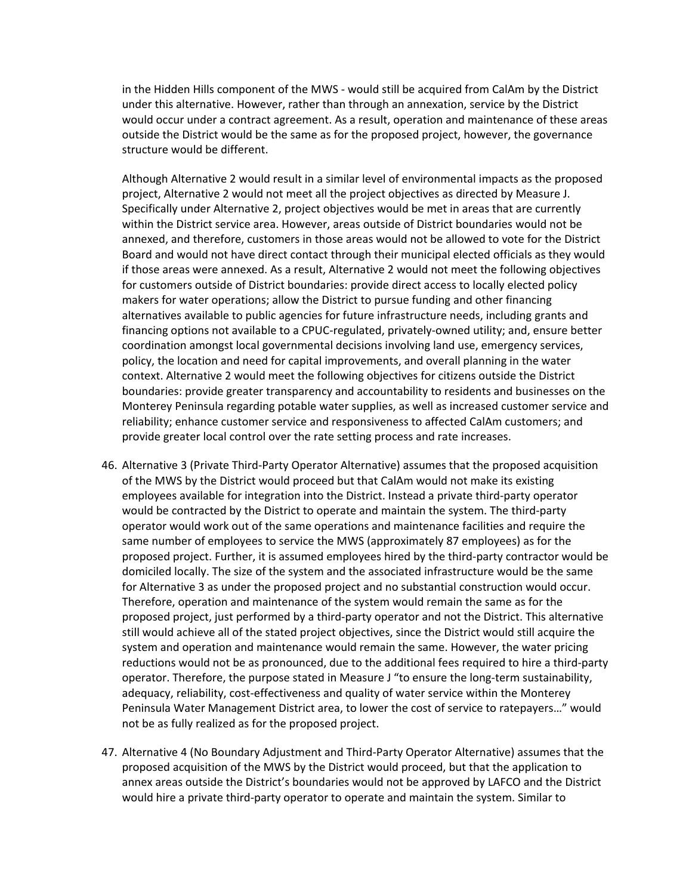in the Hidden Hills component of the MWS - would still be acquired from CalAm by the District under this alternative. However, rather than through an annexation, service by the District would occur under a contract agreement. As a result, operation and maintenance of these areas outside the District would be the same as for the proposed project, however, the governance structure would be different.

Although Alternative 2 would result in a similar level of environmental impacts as the proposed project, Alternative 2 would not meet all the project objectives as directed by Measure J. Specifically under Alternative 2, project objectives would be met in areas that are currently within the District service area. However, areas outside of District boundaries would not be annexed, and therefore, customers in those areas would not be allowed to vote for the District Board and would not have direct contact through their municipal elected officials as they would if those areas were annexed. As a result, Alternative 2 would not meet the following objectives for customers outside of District boundaries: provide direct access to locally elected policy makers for water operations; allow the District to pursue funding and other financing alternatives available to public agencies for future infrastructure needs, including grants and financing options not available to a CPUC-regulated, privately-owned utility; and, ensure better coordination amongst local governmental decisions involving land use, emergency services, policy, the location and need for capital improvements, and overall planning in the water context. Alternative 2 would meet the following objectives for citizens outside the District boundaries: provide greater transparency and accountability to residents and businesses on the Monterey Peninsula regarding potable water supplies, as well as increased customer service and reliability; enhance customer service and responsiveness to affected CalAm customers; and provide greater local control over the rate setting process and rate increases.

- 46. Alternative 3 (Private Third-Party Operator Alternative) assumes that the proposed acquisition of the MWS by the District would proceed but that CalAm would not make its existing employees available for integration into the District. Instead a private third-party operator would be contracted by the District to operate and maintain the system. The third-party operator would work out of the same operations and maintenance facilities and require the same number of employees to service the MWS (approximately 87 employees) as for the proposed project. Further, it is assumed employees hired by the third-party contractor would be domiciled locally. The size of the system and the associated infrastructure would be the same for Alternative 3 as under the proposed project and no substantial construction would occur. Therefore, operation and maintenance of the system would remain the same as for the proposed project, just performed by a third-party operator and not the District. This alternative still would achieve all of the stated project objectives, since the District would still acquire the system and operation and maintenance would remain the same. However, the water pricing reductions would not be as pronounced, due to the additional fees required to hire a third-party operator. Therefore, the purpose stated in Measure J "to ensure the long-term sustainability, adequacy, reliability, cost-effectiveness and quality of water service within the Monterey Peninsula Water Management District area, to lower the cost of service to ratepayers…" would not be as fully realized as for the proposed project.
- 47. Alternative 4 (No Boundary Adjustment and Third-Party Operator Alternative) assumes that the proposed acquisition of the MWS by the District would proceed, but that the application to annex areas outside the District's boundaries would not be approved by LAFCO and the District would hire a private third-party operator to operate and maintain the system. Similar to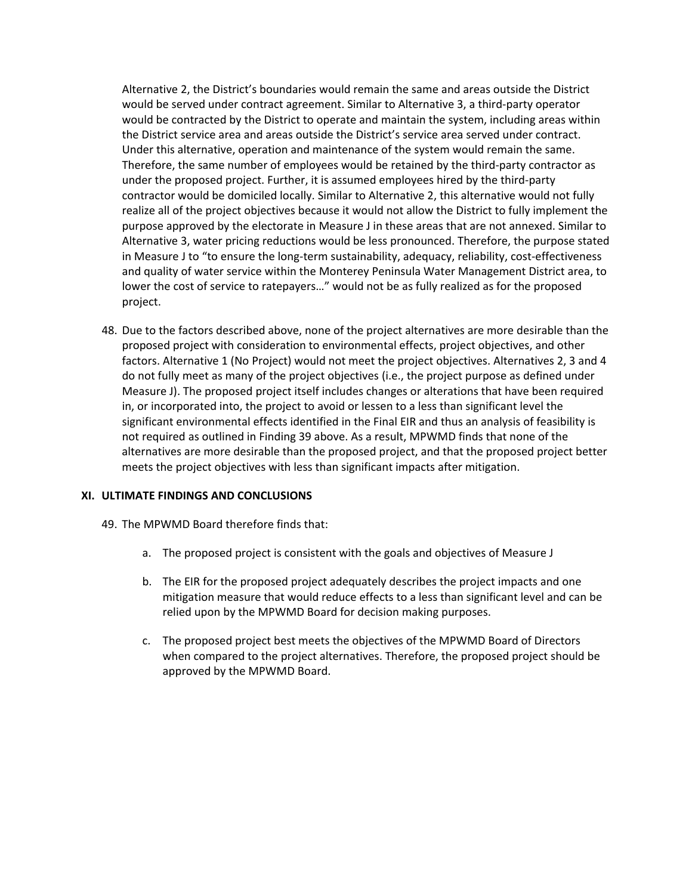Alternative 2, the District's boundaries would remain the same and areas outside the District would be served under contract agreement. Similar to Alternative 3, a third-party operator would be contracted by the District to operate and maintain the system, including areas within the District service area and areas outside the District's service area served under contract. Under this alternative, operation and maintenance of the system would remain the same. Therefore, the same number of employees would be retained by the third-party contractor as under the proposed project. Further, it is assumed employees hired by the third-party contractor would be domiciled locally. Similar to Alternative 2, this alternative would not fully realize all of the project objectives because it would not allow the District to fully implement the purpose approved by the electorate in Measure J in these areas that are not annexed. Similar to Alternative 3, water pricing reductions would be less pronounced. Therefore, the purpose stated in Measure J to "to ensure the long-term sustainability, adequacy, reliability, cost-effectiveness and quality of water service within the Monterey Peninsula Water Management District area, to lower the cost of service to ratepayers…" would not be as fully realized as for the proposed project.

48. Due to the factors described above, none of the project alternatives are more desirable than the proposed project with consideration to environmental effects, project objectives, and other factors. Alternative 1 (No Project) would not meet the project objectives. Alternatives 2, 3 and 4 do not fully meet as many of the project objectives (i.e., the project purpose as defined under Measure J). The proposed project itself includes changes or alterations that have been required in, or incorporated into, the project to avoid or lessen to a less than significant level the significant environmental effects identified in the Final EIR and thus an analysis of feasibility is not required as outlined in Finding 39 above. As a result, MPWMD finds that none of the alternatives are more desirable than the proposed project, and that the proposed project better meets the project objectives with less than significant impacts after mitigation.

#### **XI. ULTIMATE FINDINGS AND CONCLUSIONS**

- 49. The MPWMD Board therefore finds that:
	- a. The proposed project is consistent with the goals and objectives of Measure J
	- b. The EIR for the proposed project adequately describes the project impacts and one mitigation measure that would reduce effects to a less than significant level and can be relied upon by the MPWMD Board for decision making purposes.
	- c. The proposed project best meets the objectives of the MPWMD Board of Directors when compared to the project alternatives. Therefore, the proposed project should be approved by the MPWMD Board.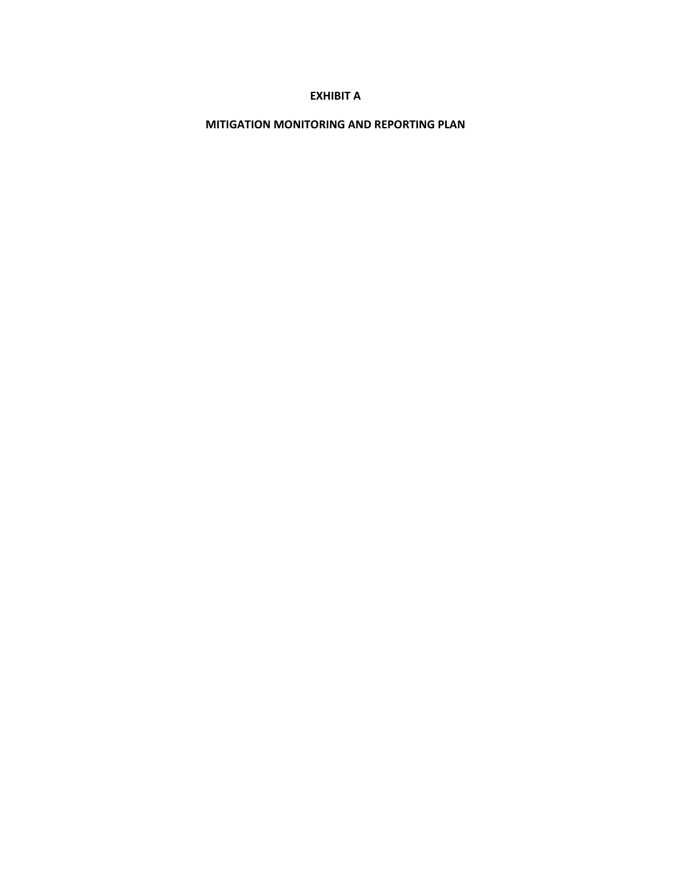#### **EXHIBIT A**

**MITIGATION MONITORING AND REPORTING PLAN**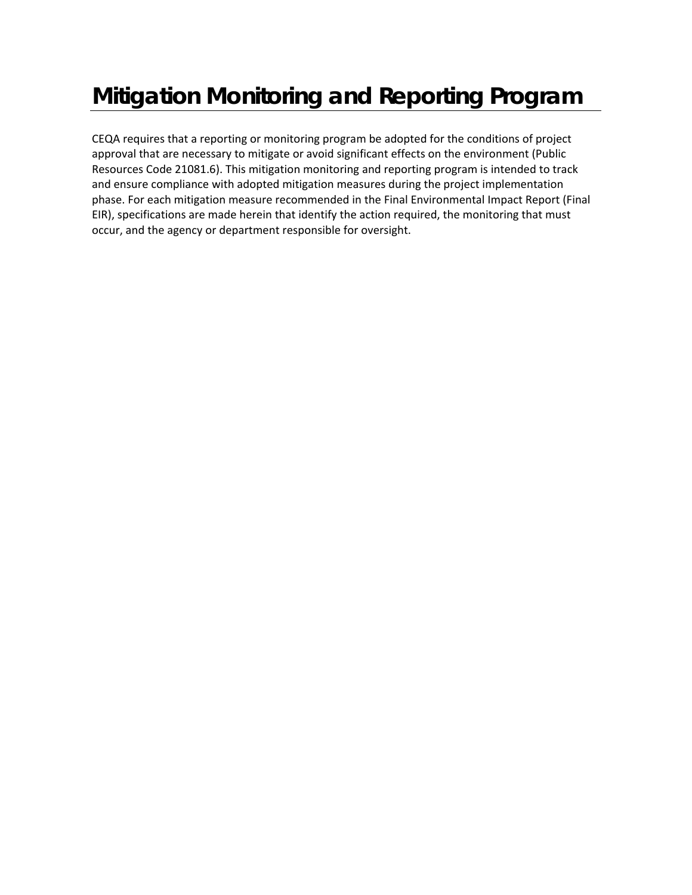# **Mitigation Monitoring and Reporting Program**

CEQA requires that a reporting or monitoring program be adopted for the conditions of project approval that are necessary to mitigate or avoid significant effects on the environment (Public Resources Code 21081.6). This mitigation monitoring and reporting program is intended to track and ensure compliance with adopted mitigation measures during the project implementation phase. For each mitigation measure recommended in the Final Environmental Impact Report (Final EIR), specifications are made herein that identify the action required, the monitoring that must occur, and the agency or department responsible for oversight.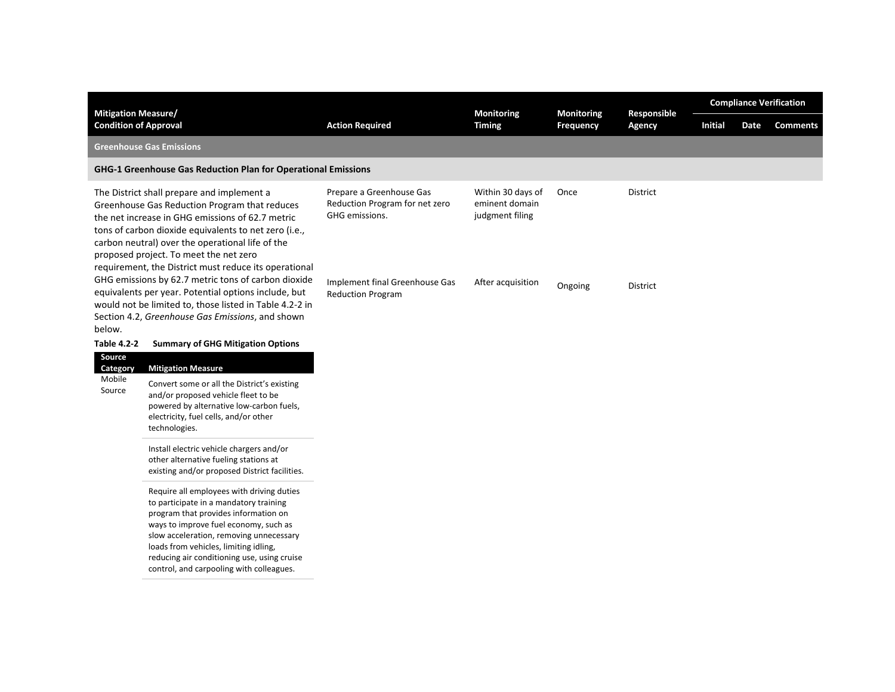| <b>Mitigation Measure/</b><br><b>Condition of Approval</b>                                                                                                                                                                                                                                                                                                      |                                                                                                                                                                                                                                                                                                                                                     | <b>Action Required</b>                                                       | Monitoring<br><b>Timing</b>                            | <b>Monitoring</b> | Responsible<br>Agency | <b>Compliance Verification</b> |      |                 |  |
|-----------------------------------------------------------------------------------------------------------------------------------------------------------------------------------------------------------------------------------------------------------------------------------------------------------------------------------------------------------------|-----------------------------------------------------------------------------------------------------------------------------------------------------------------------------------------------------------------------------------------------------------------------------------------------------------------------------------------------------|------------------------------------------------------------------------------|--------------------------------------------------------|-------------------|-----------------------|--------------------------------|------|-----------------|--|
|                                                                                                                                                                                                                                                                                                                                                                 |                                                                                                                                                                                                                                                                                                                                                     |                                                                              |                                                        | <b>Frequency</b>  |                       | <b>Initial</b>                 | Date | <b>Comments</b> |  |
|                                                                                                                                                                                                                                                                                                                                                                 | <b>Greenhouse Gas Emissions</b>                                                                                                                                                                                                                                                                                                                     |                                                                              |                                                        |                   |                       |                                |      |                 |  |
|                                                                                                                                                                                                                                                                                                                                                                 | GHG-1 Greenhouse Gas Reduction Plan for Operational Emissions                                                                                                                                                                                                                                                                                       |                                                                              |                                                        |                   |                       |                                |      |                 |  |
| The District shall prepare and implement a<br>Greenhouse Gas Reduction Program that reduces<br>the net increase in GHG emissions of 62.7 metric<br>tons of carbon dioxide equivalents to net zero (i.e.,<br>carbon neutral) over the operational life of the<br>proposed project. To meet the net zero<br>requirement, the District must reduce its operational |                                                                                                                                                                                                                                                                                                                                                     | Prepare a Greenhouse Gas<br>Reduction Program for net zero<br>GHG emissions. | Within 30 days of<br>eminent domain<br>judgment filing | Once              | District              |                                |      |                 |  |
| below.                                                                                                                                                                                                                                                                                                                                                          | GHG emissions by 62.7 metric tons of carbon dioxide<br>equivalents per year. Potential options include, but<br>would not be limited to, those listed in Table 4.2-2 in<br>Section 4.2, Greenhouse Gas Emissions, and shown                                                                                                                          | Implement final Greenhouse Gas<br><b>Reduction Program</b>                   | After acquisition                                      | Ongoing           | <b>District</b>       |                                |      |                 |  |
| <b>Table 4.2-2</b>                                                                                                                                                                                                                                                                                                                                              | <b>Summary of GHG Mitigation Options</b>                                                                                                                                                                                                                                                                                                            |                                                                              |                                                        |                   |                       |                                |      |                 |  |
| Source<br>Category                                                                                                                                                                                                                                                                                                                                              | <b>Mitigation Measure</b>                                                                                                                                                                                                                                                                                                                           |                                                                              |                                                        |                   |                       |                                |      |                 |  |
| Mobile<br>Source                                                                                                                                                                                                                                                                                                                                                | Convert some or all the District's existing<br>and/or proposed vehicle fleet to be<br>powered by alternative low-carbon fuels,<br>electricity, fuel cells, and/or other<br>technologies.                                                                                                                                                            |                                                                              |                                                        |                   |                       |                                |      |                 |  |
|                                                                                                                                                                                                                                                                                                                                                                 | Install electric vehicle chargers and/or<br>other alternative fueling stations at<br>existing and/or proposed District facilities.                                                                                                                                                                                                                  |                                                                              |                                                        |                   |                       |                                |      |                 |  |
|                                                                                                                                                                                                                                                                                                                                                                 | Require all employees with driving duties<br>to participate in a mandatory training<br>program that provides information on<br>ways to improve fuel economy, such as<br>slow acceleration, removing unnecessary<br>loads from vehicles, limiting idling,<br>reducing air conditioning use, using cruise<br>control, and carpooling with colleagues. |                                                                              |                                                        |                   |                       |                                |      |                 |  |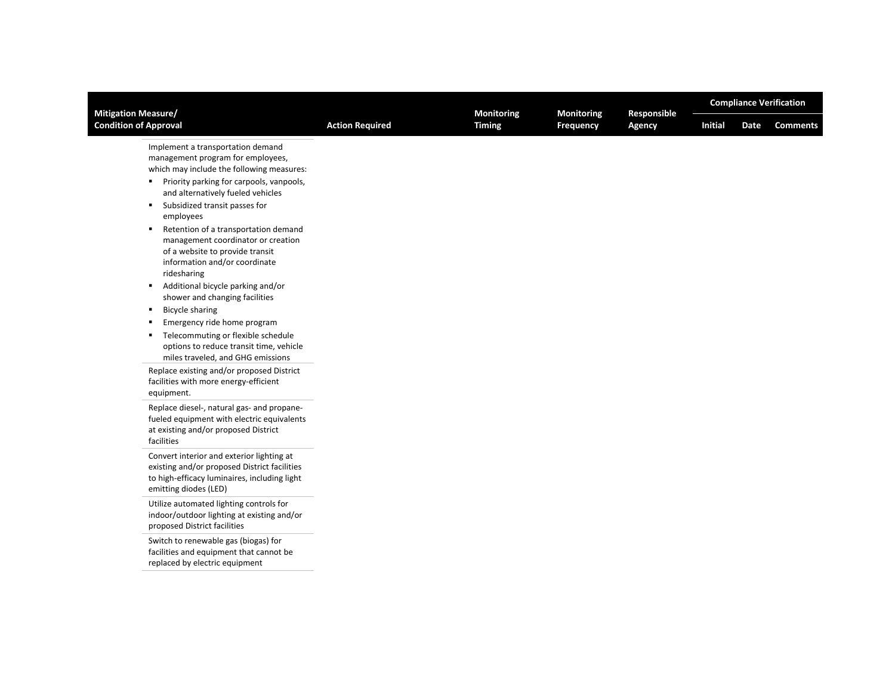| <b>Mitigation Measure/</b>                                                                                                                                                                                                                                                                                                                                                                                                                                                                                                                                                                                                                                                                                                          | <b>Action Required</b> | <b>Monitoring</b> | <b>Monitoring</b> |                       | <b>Compliance Verification</b> |      |                 |  |
|-------------------------------------------------------------------------------------------------------------------------------------------------------------------------------------------------------------------------------------------------------------------------------------------------------------------------------------------------------------------------------------------------------------------------------------------------------------------------------------------------------------------------------------------------------------------------------------------------------------------------------------------------------------------------------------------------------------------------------------|------------------------|-------------------|-------------------|-----------------------|--------------------------------|------|-----------------|--|
| <b>Condition of Approval</b>                                                                                                                                                                                                                                                                                                                                                                                                                                                                                                                                                                                                                                                                                                        |                        | <b>Timing</b>     | Frequency         | Responsible<br>Agency | <b>Initial</b>                 | Date | <b>Comments</b> |  |
| Implement a transportation demand<br>management program for employees,<br>which may include the following measures:<br>■ Priority parking for carpools, vanpools,<br>and alternatively fueled vehicles<br>Subsidized transit passes for<br>٠<br>employees<br>Retention of a transportation demand<br>$\blacksquare$<br>management coordinator or creation<br>of a website to provide transit<br>information and/or coordinate<br>ridesharing<br>Additional bicycle parking and/or<br>$\blacksquare$<br>shower and changing facilities<br><b>Bicycle sharing</b><br>٠<br>Emergency ride home program<br>٠<br>Telecommuting or flexible schedule<br>٠<br>options to reduce transit time, vehicle<br>miles traveled, and GHG emissions |                        |                   |                   |                       |                                |      |                 |  |
| Replace existing and/or proposed District<br>facilities with more energy-efficient<br>equipment.                                                                                                                                                                                                                                                                                                                                                                                                                                                                                                                                                                                                                                    |                        |                   |                   |                       |                                |      |                 |  |
| Replace diesel-, natural gas- and propane-<br>fueled equipment with electric equivalents<br>at existing and/or proposed District<br>facilities                                                                                                                                                                                                                                                                                                                                                                                                                                                                                                                                                                                      |                        |                   |                   |                       |                                |      |                 |  |
| Convert interior and exterior lighting at<br>existing and/or proposed District facilities<br>to high-efficacy luminaires, including light<br>emitting diodes (LED)                                                                                                                                                                                                                                                                                                                                                                                                                                                                                                                                                                  |                        |                   |                   |                       |                                |      |                 |  |
| Utilize automated lighting controls for<br>indoor/outdoor lighting at existing and/or<br>proposed District facilities                                                                                                                                                                                                                                                                                                                                                                                                                                                                                                                                                                                                               |                        |                   |                   |                       |                                |      |                 |  |
| Switch to renewable gas (biogas) for<br>facilities and equipment that cannot be<br>replaced by electric equipment                                                                                                                                                                                                                                                                                                                                                                                                                                                                                                                                                                                                                   |                        |                   |                   |                       |                                |      |                 |  |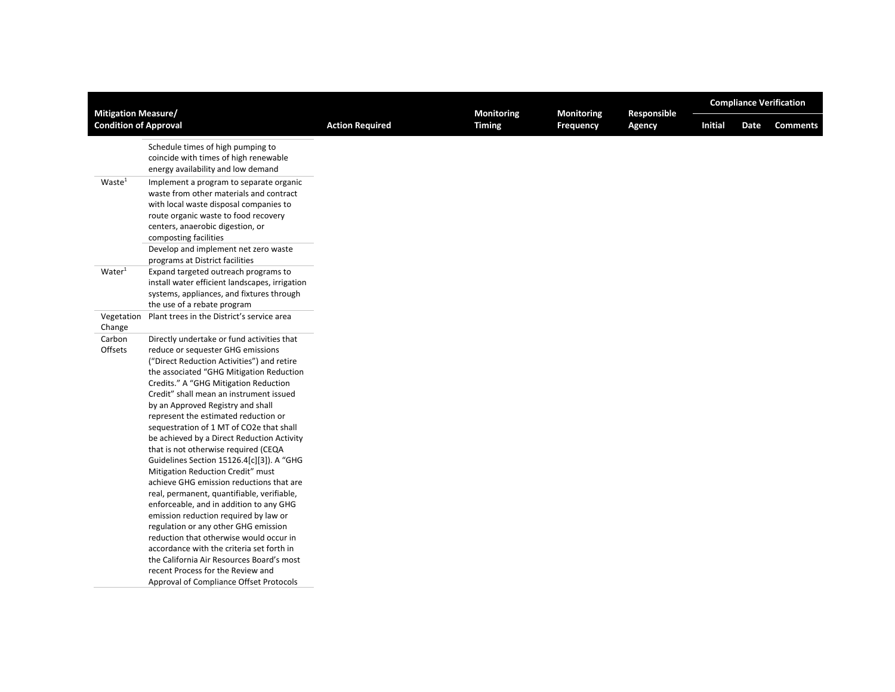|                                                            |                                                                                                                                                                                                                                                                                                              |                        | <b>Monitoring</b> | Monitoring       | Responsible | <b>Compliance Verification</b> |      |                 |  |
|------------------------------------------------------------|--------------------------------------------------------------------------------------------------------------------------------------------------------------------------------------------------------------------------------------------------------------------------------------------------------------|------------------------|-------------------|------------------|-------------|--------------------------------|------|-----------------|--|
| <b>Mitigation Measure/</b><br><b>Condition of Approval</b> |                                                                                                                                                                                                                                                                                                              | <b>Action Required</b> | <b>Timing</b>     | <b>Frequency</b> | Agency      | <b>Initial</b>                 | Date | <b>Comments</b> |  |
|                                                            | Schedule times of high pumping to<br>coincide with times of high renewable<br>energy availability and low demand                                                                                                                                                                                             |                        |                   |                  |             |                                |      |                 |  |
| Waste <sup>1</sup>                                         | Implement a program to separate organic<br>waste from other materials and contract<br>with local waste disposal companies to<br>route organic waste to food recovery<br>centers, anaerobic digestion, or<br>composting facilities<br>Develop and implement net zero waste<br>programs at District facilities |                        |                   |                  |             |                                |      |                 |  |
| Water <sup>1</sup>                                         | Expand targeted outreach programs to<br>install water efficient landscapes, irrigation<br>systems, appliances, and fixtures through<br>the use of a rebate program                                                                                                                                           |                        |                   |                  |             |                                |      |                 |  |
| Vegetation                                                 | Plant trees in the District's service area                                                                                                                                                                                                                                                                   |                        |                   |                  |             |                                |      |                 |  |
| Change                                                     |                                                                                                                                                                                                                                                                                                              |                        |                   |                  |             |                                |      |                 |  |
| Carbon                                                     | Directly undertake or fund activities that                                                                                                                                                                                                                                                                   |                        |                   |                  |             |                                |      |                 |  |
| Offsets                                                    | reduce or sequester GHG emissions<br>("Direct Reduction Activities") and retire<br>the associated "GHG Mitigation Reduction<br>Credits." A "GHG Mitigation Reduction                                                                                                                                         |                        |                   |                  |             |                                |      |                 |  |
|                                                            | Credit" shall mean an instrument issued<br>by an Approved Registry and shall                                                                                                                                                                                                                                 |                        |                   |                  |             |                                |      |                 |  |
|                                                            | represent the estimated reduction or<br>sequestration of 1 MT of CO2e that shall<br>be achieved by a Direct Reduction Activity<br>that is not otherwise required (CEQA<br>Guidelines Section 15126.4[c][3]). A "GHG                                                                                          |                        |                   |                  |             |                                |      |                 |  |
|                                                            | Mitigation Reduction Credit" must<br>achieve GHG emission reductions that are<br>real, permanent, quantifiable, verifiable,<br>enforceable, and in addition to any GHG                                                                                                                                       |                        |                   |                  |             |                                |      |                 |  |
|                                                            | emission reduction required by law or<br>regulation or any other GHG emission<br>reduction that otherwise would occur in<br>accordance with the criteria set forth in                                                                                                                                        |                        |                   |                  |             |                                |      |                 |  |
|                                                            | the California Air Resources Board's most<br>recent Process for the Review and<br>Approval of Compliance Offset Protocols                                                                                                                                                                                    |                        |                   |                  |             |                                |      |                 |  |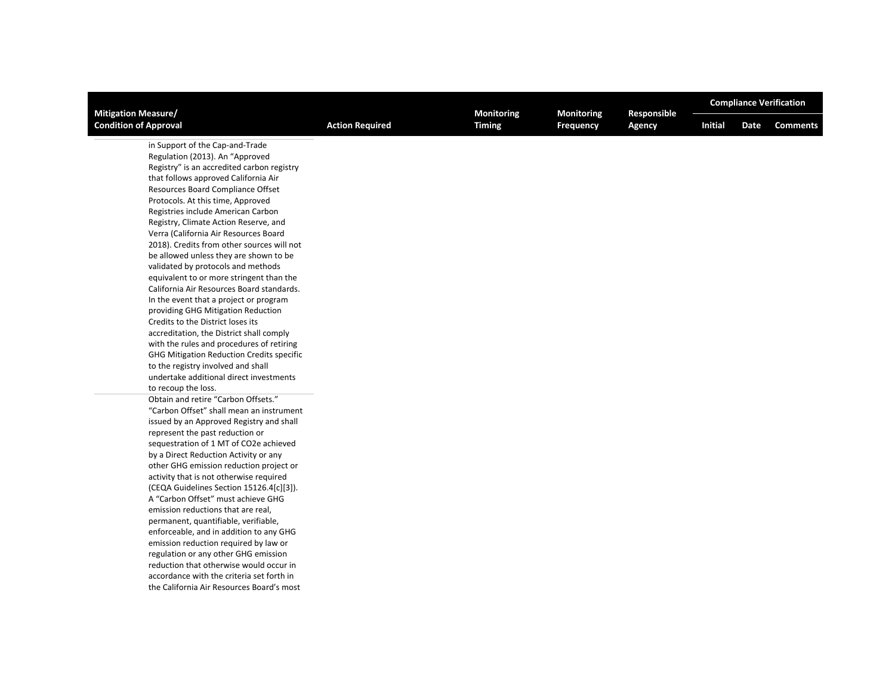| <b>Mitigation Measure/</b>                                                                                                                                                                                                                                                                                                                                                                                                                                                                                                                                                                                                                                                                                                                                                                                                                                                                                                                                                                                                                                                                                                                                                                                                                                                                                                                                                                                                                                                                                                                                                                                                                                                                                                              |                        | Monitoring    | Monitoring       | Responsible | <b>Compliance Verification</b> |                         |  |  |
|-----------------------------------------------------------------------------------------------------------------------------------------------------------------------------------------------------------------------------------------------------------------------------------------------------------------------------------------------------------------------------------------------------------------------------------------------------------------------------------------------------------------------------------------------------------------------------------------------------------------------------------------------------------------------------------------------------------------------------------------------------------------------------------------------------------------------------------------------------------------------------------------------------------------------------------------------------------------------------------------------------------------------------------------------------------------------------------------------------------------------------------------------------------------------------------------------------------------------------------------------------------------------------------------------------------------------------------------------------------------------------------------------------------------------------------------------------------------------------------------------------------------------------------------------------------------------------------------------------------------------------------------------------------------------------------------------------------------------------------------|------------------------|---------------|------------------|-------------|--------------------------------|-------------------------|--|--|
| <b>Condition of Approval</b>                                                                                                                                                                                                                                                                                                                                                                                                                                                                                                                                                                                                                                                                                                                                                                                                                                                                                                                                                                                                                                                                                                                                                                                                                                                                                                                                                                                                                                                                                                                                                                                                                                                                                                            | <b>Action Required</b> | <b>Timing</b> | <b>Frequency</b> | Agency      | <b>Initial</b>                 | <b>Comments</b><br>Date |  |  |
| in Support of the Cap-and-Trade<br>Regulation (2013). An "Approved<br>Registry" is an accredited carbon registry<br>that follows approved California Air<br>Resources Board Compliance Offset<br>Protocols. At this time, Approved<br>Registries include American Carbon<br>Registry, Climate Action Reserve, and<br>Verra (California Air Resources Board<br>2018). Credits from other sources will not<br>be allowed unless they are shown to be<br>validated by protocols and methods<br>equivalent to or more stringent than the<br>California Air Resources Board standards.<br>In the event that a project or program<br>providing GHG Mitigation Reduction<br>Credits to the District loses its<br>accreditation, the District shall comply<br>with the rules and procedures of retiring<br><b>GHG Mitigation Reduction Credits specific</b><br>to the registry involved and shall<br>undertake additional direct investments<br>to recoup the loss.<br>Obtain and retire "Carbon Offsets."<br>"Carbon Offset" shall mean an instrument<br>issued by an Approved Registry and shall<br>represent the past reduction or<br>sequestration of 1 MT of CO2e achieved<br>by a Direct Reduction Activity or any<br>other GHG emission reduction project or<br>activity that is not otherwise required<br>(CEQA Guidelines Section 15126.4[c][3]).<br>A "Carbon Offset" must achieve GHG<br>emission reductions that are real,<br>permanent, quantifiable, verifiable,<br>enforceable, and in addition to any GHG<br>emission reduction required by law or<br>regulation or any other GHG emission<br>reduction that otherwise would occur in<br>accordance with the criteria set forth in<br>the California Air Resources Board's most |                        |               |                  |             |                                |                         |  |  |
|                                                                                                                                                                                                                                                                                                                                                                                                                                                                                                                                                                                                                                                                                                                                                                                                                                                                                                                                                                                                                                                                                                                                                                                                                                                                                                                                                                                                                                                                                                                                                                                                                                                                                                                                         |                        |               |                  |             |                                |                         |  |  |